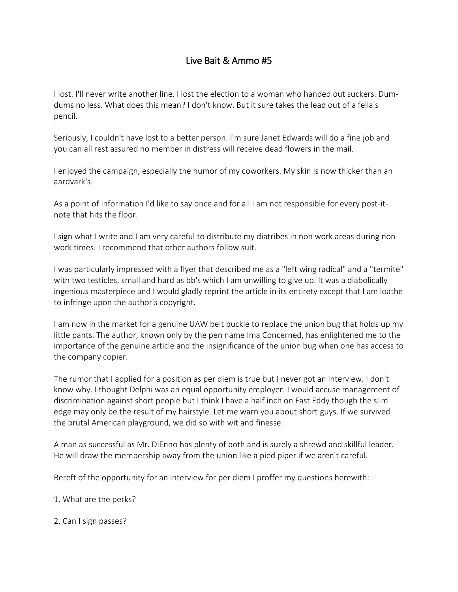## Live Bait & Ammo #5

I lost. I'll never write another line. I lost the election to a woman who handed out suckers. Dumdums no less. What does this mean? I don't know. But it sure takes the lead out of a fella's pencil.

Seriously, I couldn't have lost to a better person. I'm sure Janet Edwards will do a fine job and you can all rest assured no member in distress will receive dead flowers in the mail.

I enjoyed the campaign, especially the humor of my coworkers. My skin is now thicker than an aardvark's.

As a point of information I'd like to say once and for all I am not responsible for every post-itnote that hits the floor.

I sign what I write and I am very careful to distribute my diatribes in non work areas during non work times. I recommend that other authors follow suit.

I was particularly impressed with a flyer that described me as a "left wing radical" and a "termite" with two testicles, small and hard as bb's which I am unwilling to give up. It was a diabolically ingenious masterpiece and I would gladly reprint the article in its entirety except that I am loathe to infringe upon the author's copyright.

I am now in the market for a genuine UAW belt buckle to replace the union bug that holds up my little pants. The author, known only by the pen name Ima Concerned, has enlightened me to the importance of the genuine article and the insignificance of the union bug when one has access to the company copier.

The rumor that I applied for a position as per diem is true but I never got an interview. I don't know why. I thought Delphi was an equal opportunity employer. I would accuse management of discrimination against short people but I think I have a half inch on Fast Eddy though the slim edge may only be the result of my hairstyle. Let me warn you about short guys. If we survived the brutal American playground, we did so with wit and finesse.

A man as successful as Mr. DiEnno has plenty of both and is surely a shrewd and skillful leader. He will draw the membership away from the union like a pied piper if we aren't careful.

Bereft of the opportunity for an interview for per diem I proffer my questions herewith:

1. What are the perks?

2. Can I sign passes?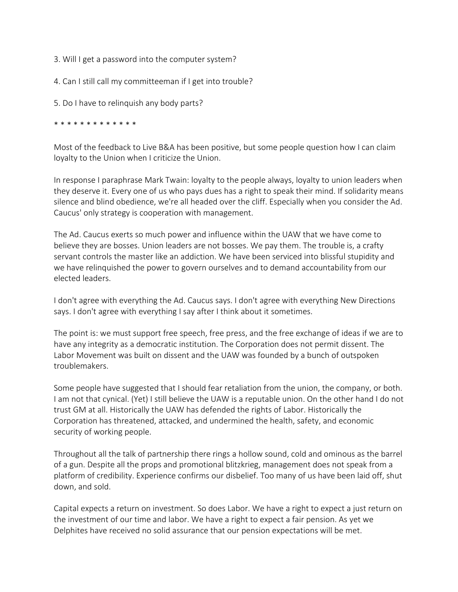- 3. Will I get a password into the computer system?
- 4. Can I still call my committeeman if I get into trouble?
- 5. Do I have to relinquish any body parts?

## \* \* \* \* \* \* \* \* \* \* \* \*

Most of the feedback to Live B&A has been positive, but some people question how I can claim loyalty to the Union when I criticize the Union.

In response I paraphrase Mark Twain: loyalty to the people always, loyalty to union leaders when they deserve it. Every one of us who pays dues has a right to speak their mind. If solidarity means silence and blind obedience, we're all headed over the cliff. Especially when you consider the Ad. Caucus' only strategy is cooperation with management.

The Ad. Caucus exerts so much power and influence within the UAW that we have come to believe they are bosses. Union leaders are not bosses. We pay them. The trouble is, a crafty servant controls the master like an addiction. We have been serviced into blissful stupidity and we have relinquished the power to govern ourselves and to demand accountability from our elected leaders.

I don't agree with everything the Ad. Caucus says. I don't agree with everything New Directions says. I don't agree with everything I say after I think about it sometimes.

The point is: we must support free speech, free press, and the free exchange of ideas if we are to have any integrity as a democratic institution. The Corporation does not permit dissent. The Labor Movement was built on dissent and the UAW was founded by a bunch of outspoken troublemakers.

Some people have suggested that I should fear retaliation from the union, the company, or both. I am not that cynical. (Yet) I still believe the UAW is a reputable union. On the other hand I do not trust GM at all. Historically the UAW has defended the rights of Labor. Historically the Corporation has threatened, attacked, and undermined the health, safety, and economic security of working people.

Throughout all the talk of partnership there rings a hollow sound, cold and ominous as the barrel of a gun. Despite all the props and promotional blitzkrieg, management does not speak from a platform of credibility. Experience confirms our disbelief. Too many of us have been laid off, shut down, and sold.

Capital expects a return on investment. So does Labor. We have a right to expect a just return on the investment of our time and labor. We have a right to expect a fair pension. As yet we Delphites have received no solid assurance that our pension expectations will be met.